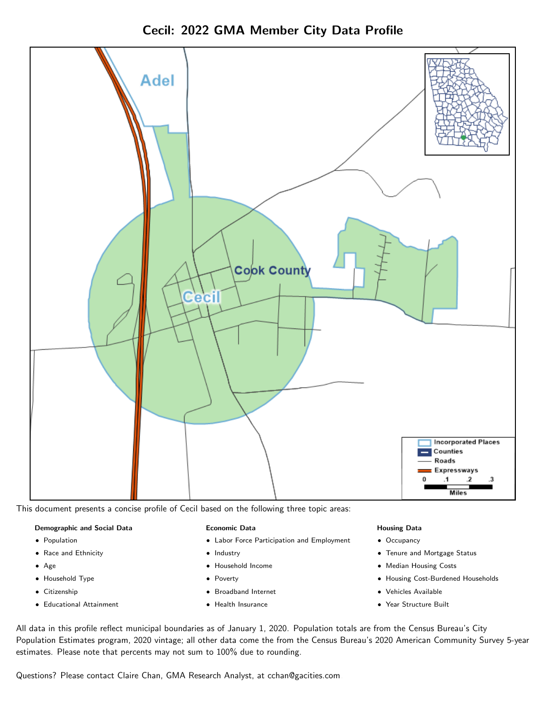



This document presents a concise profile of Cecil based on the following three topic areas:

### Demographic and Social Data

- **•** Population
- Race and Ethnicity
- Age
- Household Type
- **Citizenship**
- Educational Attainment

### Economic Data

- Labor Force Participation and Employment
- Industry
- Household Income
- Poverty
- Broadband Internet
- Health Insurance

### Housing Data

- Occupancy
- Tenure and Mortgage Status
- Median Housing Costs
- Housing Cost-Burdened Households
- Vehicles Available
- Year Structure Built

All data in this profile reflect municipal boundaries as of January 1, 2020. Population totals are from the Census Bureau's City Population Estimates program, 2020 vintage; all other data come the from the Census Bureau's 2020 American Community Survey 5-year estimates. Please note that percents may not sum to 100% due to rounding.

Questions? Please contact Claire Chan, GMA Research Analyst, at [cchan@gacities.com.](mailto:cchan@gacities.com)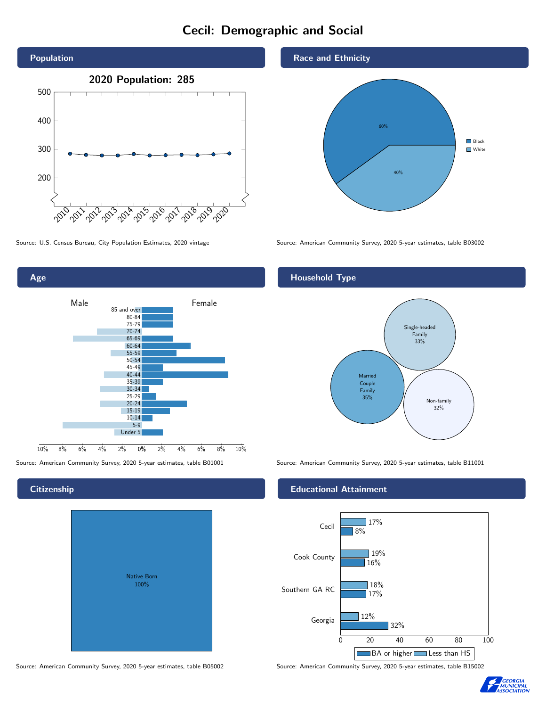# Cecil: Demographic and Social





# **Citizenship**

| <b>Native Born</b><br>100% |  |
|----------------------------|--|

Source: American Community Survey, 2020 5-year estimates, table B05002 Source: American Community Survey, 2020 5-year estimates, table B15002

## Race and Ethnicity



Source: U.S. Census Bureau, City Population Estimates, 2020 vintage Source: American Community Survey, 2020 5-year estimates, table B03002

# Household Type



Source: American Community Survey, 2020 5-year estimates, table B01001 Source: American Community Survey, 2020 5-year estimates, table B11001

## Educational Attainment



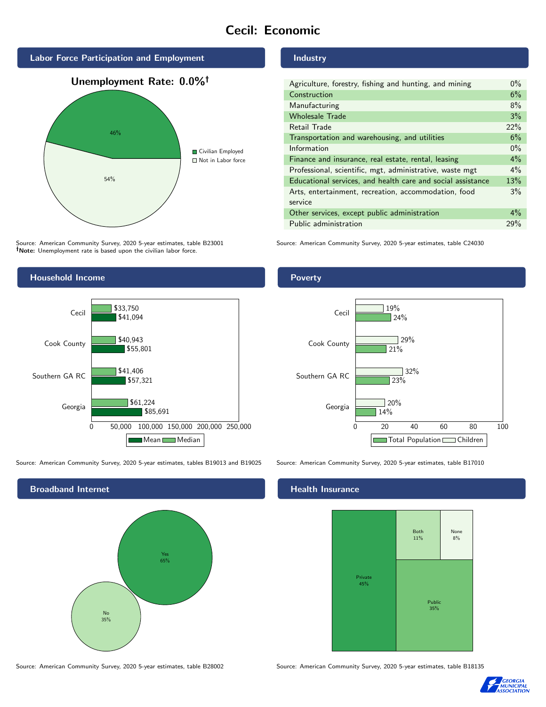# Cecil: Economic



Source: American Community Survey, 2020 5-year estimates, table B23001 Note: Unemployment rate is based upon the civilian labor force.



Georgia

Southern GA RC

Source: American Community Survey, 2020 5-year estimates, tables B19013 and B19025 Source: American Community Survey, 2020 5-year estimates, table B17010

\$57,321

\$41,406

\$61,224

\$55,801

0 50,000 100,000 150,000 200,000 250,000

Mean Median

\$85,691



Industry

| Agriculture, forestry, fishing and hunting, and mining      | $0\%$ |
|-------------------------------------------------------------|-------|
| Construction                                                |       |
| Manufacturing                                               | 8%    |
| <b>Wholesale Trade</b>                                      | 3%    |
| Retail Trade                                                | 22%   |
| Transportation and warehousing, and utilities               |       |
| Information                                                 | $0\%$ |
| Finance and insurance, real estate, rental, leasing         |       |
| Professional, scientific, mgt, administrative, waste mgt    |       |
| Educational services, and health care and social assistance |       |
| Arts, entertainment, recreation, accommodation, food        |       |
| service                                                     |       |
| Other services, except public administration                |       |
| Public administration                                       |       |

Source: American Community Survey, 2020 5-year estimates, table C24030





## **Health Insurance**



Source: American Community Survey, 2020 5-year estimates, table B28002 Source: American Community Survey, 2020 5-year estimates, table B18135